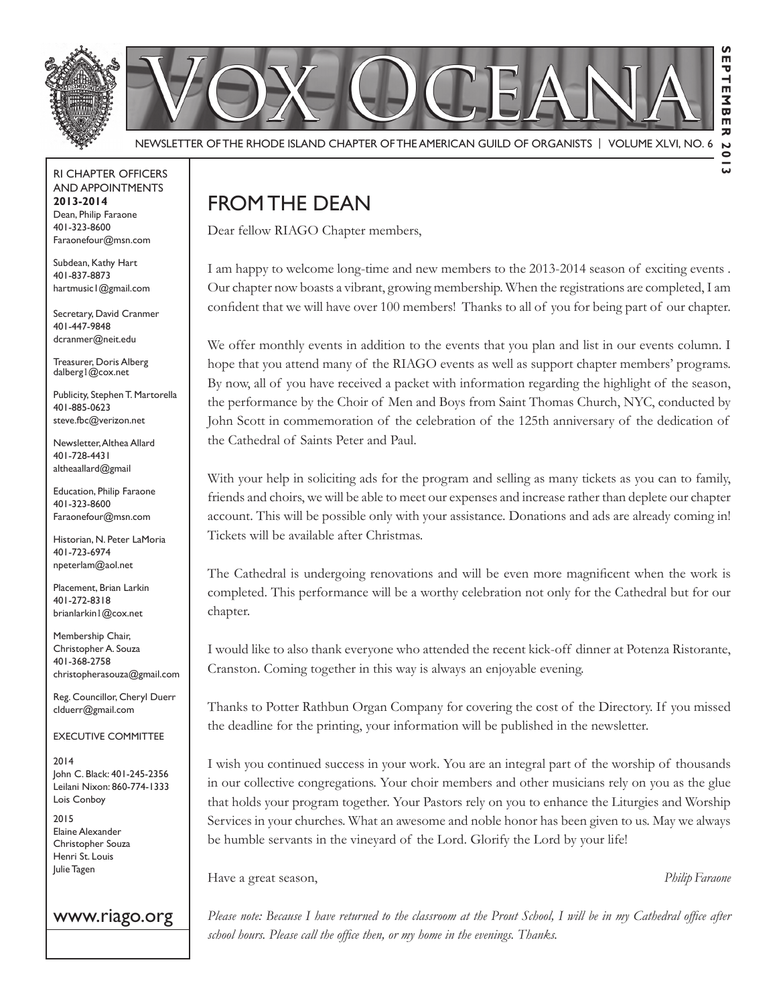

#### RI Chapter Officers and Appointments **2013-2014** Dean, Philip Faraone 401-323-8600 Faraonefour@msn.com

Subdean, Kathy Hart 401-837-8873 hartmusic1@gmail.com

Secretary, David Cranmer 401-447-9848 dcranmer@neit.edu

Treasurer, Doris Alberg dalberg1@cox.net

Publicity, Stephen T. Martorella 401-885-0623 steve.fbc@verizon.net

Newsletter, Althea Allard 401-728-4431 altheaallard@gmail

Education, Philip Faraone 401-323-8600 Faraonefour@msn.com

Historian, N. Peter LaMoria 401-723-6974 npeterlam@aol.net

Placement, Brian Larkin 401-272-8318 brianlarkin1@cox.net

Membership Chair, Christopher A. Souza 401-368-2758 christopherasouza@gmail.com

Reg. Councillor, Cheryl Duerr clduerr@gmail.com

Executive Committee

2014 John C. Black: 401-245-2356 Leilani Nixon: 860-774-1333 Lois Conboy

2015 Elaine Alexander Christopher Souza Henri St. Louis Julie Tagen

#### www.riago.org

# From the Dean

Dear fellow RIAGO Chapter members,

I am happy to welcome long-time and new members to the 2013-2014 season of exciting events . Our chapter now boasts a vibrant, growing membership. When the registrations are completed, I am confident that we will have over 100 members! Thanks to all of you for being part of our chapter.

We offer monthly events in addition to the events that you plan and list in our events column. I hope that you attend many of the RIAGO events as well as support chapter members' programs. By now, all of you have received a packet with information regarding the highlight of the season, the performance by the Choir of Men and Boys from Saint Thomas Church, NYC, conducted by John Scott in commemoration of the celebration of the 125th anniversary of the dedication of the Cathedral of Saints Peter and Paul.

With your help in soliciting ads for the program and selling as many tickets as you can to family, friends and choirs, we will be able to meet our expenses and increase rather than deplete our chapter account. This will be possible only with your assistance. Donations and ads are already coming in! Tickets will be available after Christmas.

The Cathedral is undergoing renovations and will be even more magnificent when the work is completed. This performance will be a worthy celebration not only for the Cathedral but for our chapter.

I would like to also thank everyone who attended the recent kick-off dinner at Potenza Ristorante, Cranston. Coming together in this way is always an enjoyable evening.

Thanks to Potter Rathbun Organ Company for covering the cost of the Directory. If you missed the deadline for the printing, your information will be published in the newsletter.

I wish you continued success in your work. You are an integral part of the worship of thousands in our collective congregations. Your choir members and other musicians rely on you as the glue that holds your program together. Your Pastors rely on you to enhance the Liturgies and Worship Services in your churches. What an awesome and noble honor has been given to us. May we always be humble servants in the vineyard of the Lord. Glorify the Lord by your life!

Have a great season, *Philip Faraone*

*Please note: Because I have returned to the classroom at the Prout School, I will be in my Cathedral office after school hours. Please call the office then, or my home in the evenings. Thanks.*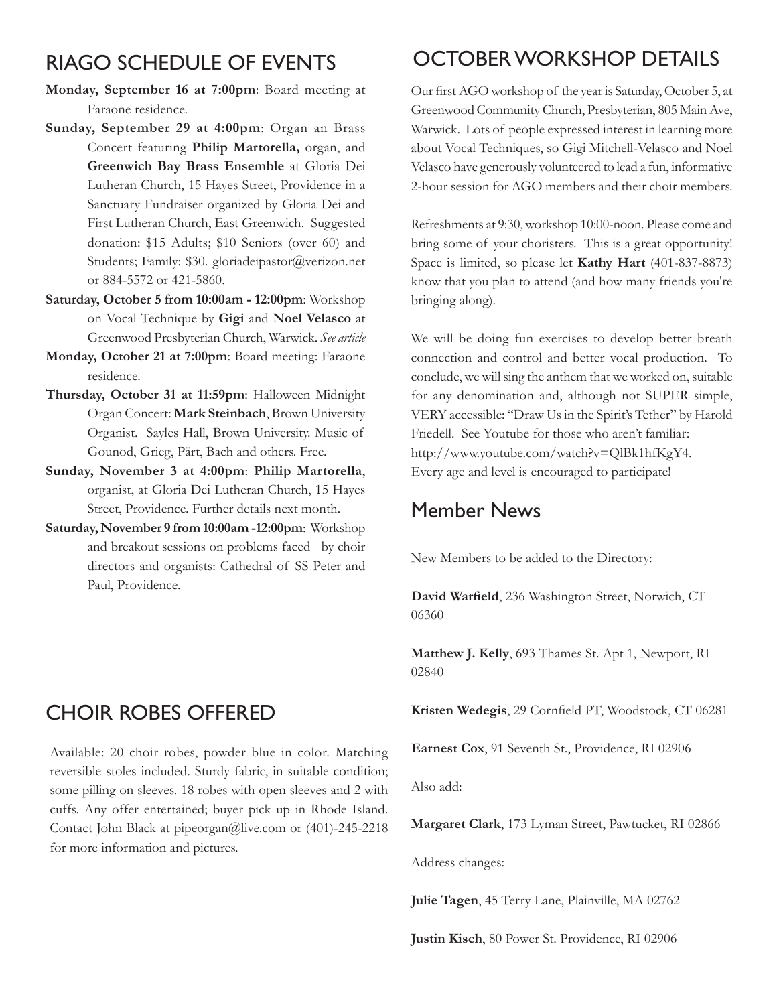# RIAGO Schedule of Events

- **Monday, September 16 at 7:00pm**: Board meeting at Faraone residence.
- **Sunday, September 29 at 4:00pm**: Organ an Brass Concert featuring **Philip Martorella,** organ, and **Greenwich Bay Brass Ensemble** at Gloria Dei Lutheran Church, 15 Hayes Street, Providence in a Sanctuary Fundraiser organized by Gloria Dei and First Lutheran Church, East Greenwich. Suggested donation: \$15 Adults; \$10 Seniors (over 60) and Students; Family: \$30. gloriadeipastor@verizon.net or 884-5572 or 421-5860.
- **Saturday, October 5 from 10:00am 12:00pm**: Workshop on Vocal Technique by **Gigi** and **Noel Velasco** at Greenwood Presbyterian Church, Warwick. *See article*
- **Monday, October 21 at 7:00pm**: Board meeting: Faraone residence.
- **Thursday, October 31 at 11:59pm**: Halloween Midnight Organ Concert: **Mark Steinbach**, Brown University Organist. Sayles Hall, Brown University. Music of Gounod, Grieg, Pärt, Bach and others. Free.
- **Sunday, November 3 at 4:00pm**: **Philip Martorella**, organist, at Gloria Dei Lutheran Church, 15 Hayes Street, Providence. Further details next month.
- **Saturday, November 9 from 10:00am -12:00pm**: Workshop and breakout sessions on problems faced by choir directors and organists: Cathedral of SS Peter and Paul, Providence.

# Choir Robes offered

Available: 20 choir robes, powder blue in color. Matching reversible stoles included. Sturdy fabric, in suitable condition; some pilling on sleeves. 18 robes with open sleeves and 2 with cuffs. Any offer entertained; buyer pick up in Rhode Island. Contact John Black at pipeorgan@live.com or (401)-245-2218 for more information and pictures.

# October Workshop Details

Our first AGO workshop of the year is Saturday, October 5, at Greenwood Community Church, Presbyterian, 805 Main Ave, Warwick. Lots of people expressed interest in learning more about Vocal Techniques, so Gigi Mitchell-Velasco and Noel Velasco have generously volunteered to lead a fun, informative 2-hour session for AGO members and their choir members.

Refreshments at 9:30, workshop 10:00-noon. Please come and bring some of your choristers. This is a great opportunity! Space is limited, so please let **Kathy Hart** (401-837-8873) know that you plan to attend (and how many friends you're bringing along).

We will be doing fun exercises to develop better breath connection and control and better vocal production. To conclude, we will sing the anthem that we worked on, suitable for any denomination and, although not SUPER simple, VERY accessible: "Draw Us in the Spirit's Tether" by Harold Friedell. See Youtube for those who aren't familiar: http://www.youtube.com/watch?v=QlBk1hfKgY4. Every age and level is encouraged to participate!

## Member News

New Members to be added to the Directory:

**David Warfield**, 236 Washington Street, Norwich, CT 06360

**Matthew J. Kelly**, 693 Thames St. Apt 1, Newport, RI 02840

**Kristen Wedegis**, 29 Cornfield PT, Woodstock, CT 06281

**Earnest Cox**, 91 Seventh St., Providence, RI 02906

Also add:

**Margaret Clark**, 173 Lyman Street, Pawtucket, RI 02866

Address changes:

**Julie Tagen**, 45 Terry Lane, Plainville, MA 02762

**Justin Kisch**, 80 Power St. Providence, RI 02906